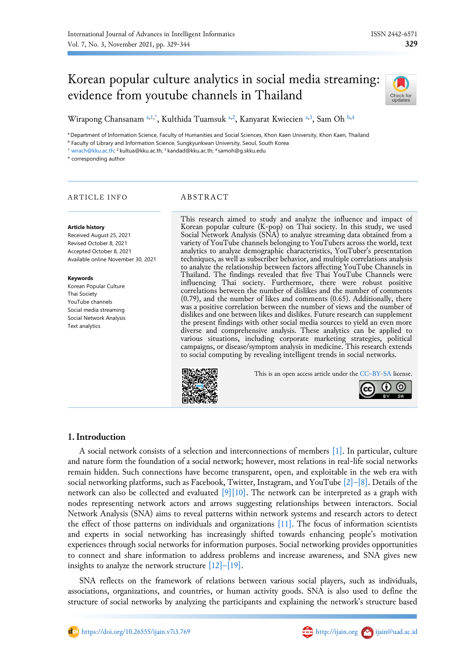# Korean popular culture analytics in social media streaming: evidence from youtube channels in Thailand



Wirapong Chansanam [a,](#page-0-0)[1](#page-0-1)[,\\*](#page-0-2), Kulthida Tuamsuk a,[2](#page-0-3), Kanyarat Kwiecien a,[3](#page-0-3), Sam Oh [b,](#page-0-4)[4](#page-0-5)

<span id="page-0-0"></span><sup>a</sup> Department of Information Science, Faculty of Humanities and Social Sciences, Khon Kaen University, Khon Kaen, Thailand

<span id="page-0-4"></span>**b Faculty of Library and Information Science, Sungkyunkwan University, Seoul, South Korea** 

<span id="page-0-3"></span><span id="page-0-1"></span><sup>1</sup> [wirach@kku.ac.th;](mailto:wirach@kku.ac.th) <sup>2</sup> kultua@kku.ac.th; <sup>3</sup> kandad@kku.ac.th; <sup>4</sup> samoh@g.skku.edu

<span id="page-0-2"></span>\* corresponding author

# ARTICLE INFO ABSTRACT

#### **Article history**

Received August 25, 2021 Revised October 8, 2021 Accepted October 8, 2021 Available online November 30, 2021

#### **Keywords**

Korean Popular Culture Thai Society YouTube channels Social media streaming Social Network Analysis Text analytics

<span id="page-0-5"></span>This research aimed to study and analyze the influence and impact of Korean popular culture (K-pop) on Thai society. In this study, we used Social Network Analysis (SNA) to analyze streaming data obtained from a variety of YouTube channels belonging to YouTubers across the world, text analytics to analyze demographic characteristics, YouTuber's presentation techniques, as well as subscriber behavior, and multiple correlations analysis to analyze the relationship between factors affecting YouTube Channels in Thailand. The findings revealed that five Thai YouTube Channels were influencing Thai society. Furthermore, there were robust positive correlations between the number of dislikes and the number of comments (0.79), and the number of likes and comments (0.65). Additionally, there was a positive correlation between the number of views and the number of dislikes and one between likes and dislikes. Future research can supplement the present findings with other social media sources to yield an even more diverse and comprehensive analysis. These analytics can be applied to various situations, including corporate marketing strategies, political campaigns, or disease/symptom analysis in medicine. This research extends to social computing by revealing intelligent trends in social networks.



This is an open access article under the CC–[BY-SA](http://creativecommons.org/licenses/by-sa/4.0/) license.



# **1.Introduction**

A social network consists of a selection and interconnections of members [\[1\].](#page-13-0) In particular, culture and nature form the foundation of a social network; however, most relations in real-life social networks remain hidden. Such connections have become transparent, open, and exploitable in the web era with social networking platforms, such as Facebook, Twitter, Instagram, and YouTube  $\lceil 2 \rceil - \lceil 8 \rceil$ . Details of the network can also be collected and evaluated  $[9][10]$ . The network can be interpreted as a graph with nodes representing network actors and arrows suggesting relationships between interactors. Social Network Analysis (SNA) aims to reveal patterns within network systems and research actors to detect the effect of those patterns on individuals and organizations [\[11\].](#page-13-4) The focus of information scientists and experts in social networking has increasingly shifted towards enhancing people's motivation experiences through social networks for information purposes. Social networking provides opportunities to connect and share information to address problems and increase awareness, and SNA gives new insights to analyze the network structure  $[12]$ – $[19]$ .

SNA reflects on the framework of relations between various social players, such as individuals, associations, organizations, and countries, or human activity goods. SNA is also used to define the structure of social networks by analyzing the participants and explaining the network's structure based

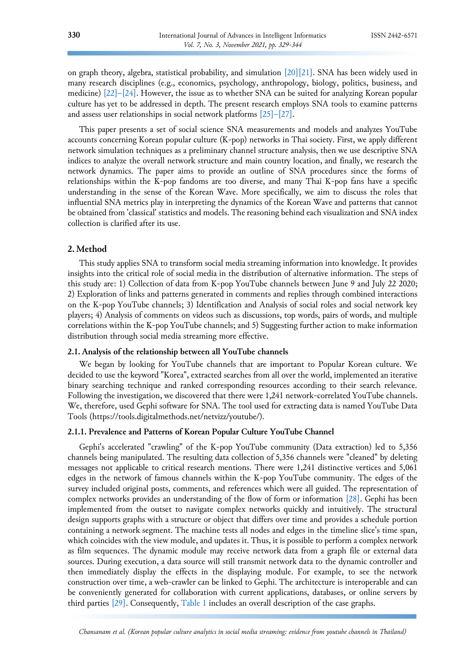on graph theory, algebra, statistical probability, and simulation [\[20\]](#page-14-0)[\[21\].](#page-14-1) SNA has been widely used in many research disciplines (e.g., economics, psychology, anthropology, biology, politics, business, and medicine) [\[22\]](#page-14-2)–[24]. However, the issue as to whether SNA can be suited for analyzing Korean popular culture has yet to be addressed in depth. The present research employs SNA tools to examine patterns and assess user relationships in social network platforms [25]–[\[27\].](#page-14-3)

This paper presents a set of social science SNA measurements and models and analyzes YouTube accounts concerning Korean popular culture (K-pop) networks in Thai society. First, we apply different network simulation techniques as a preliminary channel structure analysis, then we use descriptive SNA indices to analyze the overall network structure and main country location, and finally, we research the network dynamics. The paper aims to provide an outline of SNA procedures since the forms of relationships within the K-pop fandoms are too diverse, and many Thai K-pop fans have a specific understanding in the sense of the Korean Wave. More specifically, we aim to discuss the roles that influential SNA metrics play in interpreting the dynamics of the Korean Wave and patterns that cannot be obtained from 'classical' statistics and models. The reasoning behind each visualization and SNA index collection is clarified after its use.

# **2. Method**

This study applies SNA to transform social media streaming information into knowledge. It provides insights into the critical role of social media in the distribution of alternative information. The steps of this study are: 1) Collection of data from K-pop YouTube channels between June 9 and July 22 2020; 2) Exploration of links and patterns generated in comments and replies through combined interactions on the K-pop YouTube channels; 3) Identification and Analysis of social roles and social network key players; 4) Analysis of comments on videos such as discussions, top words, pairs of words, and multiple correlations within the K-pop YouTube channels; and 5) Suggesting further action to make information distribution through social media streaming more effective.

## **2.1. Analysis of the relationship between all YouTube channels**

We began by looking for YouTube channels that are important to Popular Korean culture. We decided to use the keyword "Korea", extracted searches from all over the world, implemented an iterative binary searching technique and ranked corresponding resources according to their search relevance. Following the investigation, we discovered that there were 1,241 network-correlated YouTube channels. We, therefore, used Gephi software for SNA. The tool used for extracting data is named YouTube Data Tools (https://tools.digitalmethods.net/netvizz/youtube/).

# **2.1.1. Prevalence and Patterns of Korean Popular Culture YouTube Channel**

Gephi's accelerated "crawling" of the K-pop YouTube community (Data extraction) led to 5,356 channels being manipulated. The resulting data collection of 5,356 channels were "cleaned" by deleting messages not applicable to critical research mentions. There were 1,241 distinctive vertices and 5,061 edges in the network of famous channels within the K-pop YouTube community. The edges of the survey included original posts, comments, and references which were all guided. The representation of complex networks provides an understanding of the flow of form or information [\[28\].](#page-14-4) Gephi has been implemented from the outset to navigate complex networks quickly and intuitively. The structural design supports graphs with a structure or object that differs over time and provides a schedule portion containing a network segment. The machine tests all nodes and edges in the timeline slice's time span, which coincides with the view module, and updates it. Thus, it is possible to perform a complex network as film sequences. The dynamic module may receive network data from a graph file or external data sources. During execution, a data source will still transmit network data to the dynamic controller and then immediately display the effects in the displaying module. For example, to see the network construction over time, a web-crawler can be linked to Gephi. The architecture is interoperable and can be conveniently generated for collaboration with current applications, databases, or online servers by third parties [\[29\].](#page-14-5) Consequently, [Table 1](#page-2-0) includes an overall description of the case graphs.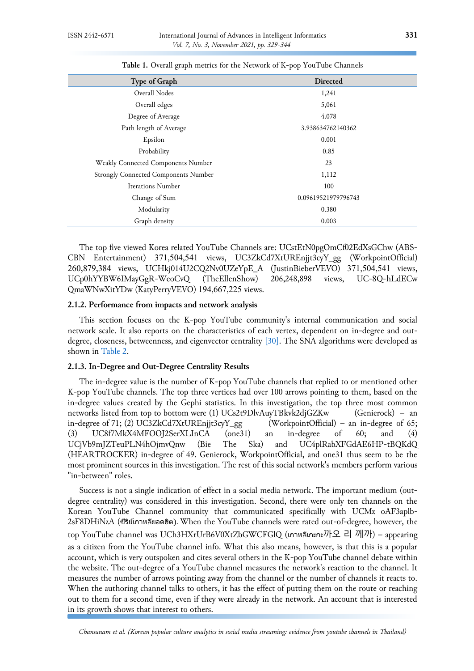<span id="page-2-0"></span>

| Type of Graph                               | Directed            |
|---------------------------------------------|---------------------|
| Overall Nodes                               | 1,241               |
| Overall edges                               | 5,061               |
| Degree of Average                           | 4.078               |
| Path length of Average                      | 3.938634762140362   |
| Epsilon                                     | 0.001               |
| Probability                                 | 0.85                |
| Weakly Connected Components Number          | 23                  |
| <b>Strongly Connected Components Number</b> | 1,112               |
| <b>Iterations Number</b>                    | 100                 |
| Change of Sum                               | 0.09619521979796743 |
| Modularity                                  | 0.380               |
| Graph density                               | 0.003               |

**Table 1.** Overall graph metrics for the Network of K-pop YouTube Channels

The top five viewed Korea related YouTube Channels are: UCstEtN0pgOmCf02EdXsGChw (ABS-CBN Entertainment) 371,504,541 views, UC3ZkCd7XtUREnjjt3cyY\_gg (WorkpointOfficial) 260,879,384 views, UCHkj014U2CQ2Nv0UZeYpE\_A (JustinBieberVEVO) 371,504,541 views, UCp0hYYBW6IMayGgR-WeoCvQ (TheEllenShow) 206,248,898 views, UC-8Q-hLdECw QmaWNwXitYDw (KatyPerryVEVO) 194,667,225 views.

#### **2.1.2. Performance from impacts and network analysis**

This section focuses on the K-pop YouTube community's internal communication and social network scale. It also reports on the characteristics of each vertex, dependent on in-degree and out-degree, closeness, betweenness, and eigenvector centrality [\[30\].](#page-14-6) The SNA algorithms were developed as shown in [Table 2.](#page-3-0)

# **2.1.3. In-Degree and Out-Degree Centrality Results**

The in-degree value is the number of K-pop YouTube channels that replied to or mentioned other K-pop YouTube channels. The top three vertices had over 100 arrows pointing to them, based on the in-degree values created by the Gephi statistics. In this investigation, the top three most common networks listed from top to bottom were (1) UCs2t9DlvAuyTBkvk2djGZKw (Genierock) – an in-degree of 71; (2) UC3ZkCd7XtUREnjjt3cyY\_gg (WorkpointOfficial) – an in-degree of 65; (3) UC8f7MkX4MFOOJ2SerXLInCA (one31) an in-degree of 60; and (4) UCjVb9mJZTeuPLN4hOjmvQnw (Bie The Ska) and UC4plRabXFGdAE6HP-tBQKdQ (HEARTROCKER) in-degree of 49. Genierock, WorkpointOfficial, and one31 thus seem to be the most prominent sources in this investigation. The rest of this social network's members perform various "in-between" roles.

Success is not a single indication of effect in a social media network. The important medium (outdegree centrality) was considered in this investigation. Second, there were only ten channels on the Korean YouTube Channel community that communicated specifically with UCMz oAF3aplb-2sF8DHiNzA (ซีรีย์เกาหลียอดฮิต). When the YouTube channels were rated out-of-degree, however, the top YouTube channel was UCh3HXrUrB6V0XtZbGWCFGlQ (เกาหลีเกะกะ까오 리 께까) – appearing as a citizen from the YouTube channel info. What this also means, however, is that this is a popular account, which is very outspoken and cites several others in the K-pop YouTube channel debate within the website. The out-degree of a YouTube channel measures the network's reaction to the channel. It measures the number of arrows pointing away from the channel or the number of channels it reacts to. When the authoring channel talks to others, it has the effect of putting them on the route or reaching out to them for a second time, even if they were already in the network. An account that is interested in its growth shows that interest to others.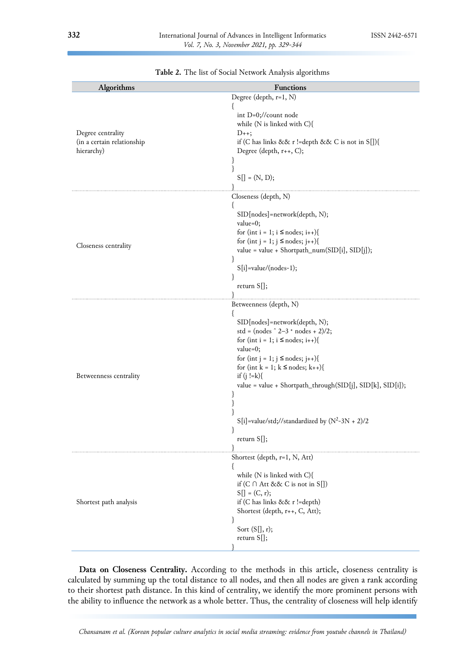<span id="page-3-0"></span>

| Algorithms                                                    | Functions                                                                                                                                                                                                                                                                                                                                                                                                                             |  |  |
|---------------------------------------------------------------|---------------------------------------------------------------------------------------------------------------------------------------------------------------------------------------------------------------------------------------------------------------------------------------------------------------------------------------------------------------------------------------------------------------------------------------|--|--|
| Degree centrality<br>(in a certain relationship<br>hierarchy) | Degree (depth, r=1, N)<br>int D=0;//count node<br>while (N is linked with C){<br>$D_{++}$ ;<br>if (C has links && r != depth && C is not in S[]){<br>Degree (depth, r++, C);<br>}<br>}<br>$S[] = (N, D);$                                                                                                                                                                                                                             |  |  |
| Closeness centrality                                          | Closeness (depth, N)<br>l<br>SID[nodes]=network(depth, N);<br>value=0;<br>for (int i = 1; i $\leq$ nodes; i++){<br>for (int j = 1; j $\leq$ nodes; j++){<br>value = value + Shortpath_num(SID[i], SID[j]);<br>$S[i] = value/(nodes-1);$<br>$\mathbf{r}$<br>return $S[]$ ;                                                                                                                                                             |  |  |
| Betweenness centrality                                        | Betweenness (depth, N)<br>ſ<br>SID[nodes]=network(depth, N);<br>std = $(nodes \hat{2}-3 * nodes + 2)/2;$<br>for (int i = 1; i $\leq$ nodes; i++){<br>value=0;<br>for (int j = 1; j $\leq$ nodes; j++){<br>for (int k = 1; k $\leq$ nodes; k++){<br>if $(j! = k)$ {<br>value = value + Shortpath_through(SID[j], SID[k], SID[i]);<br>}<br>}<br>ł<br>$S[i]$ =value/std;//standardized by (N <sup>2</sup> -3N + 2)/2<br>ł<br>return S[]; |  |  |
| Shortest path analysis                                        | Shortest (depth, r=1, N, Att)<br>$\mathcal{L}$<br>while (N is linked with C){<br>if $(C \cap$ Att && C is not in S[])<br>$S[] = (C, r);$<br>if (C has links && r !=depth)<br>Shortest (depth, r++, C, Att);<br>ł<br>Sort $(S[], r);$<br>return $S[]$ ;                                                                                                                                                                                |  |  |

**Table 2.** The list of Social Network Analysis algorithms

**Data on Closeness Centrality.** According to the methods in this article, closeness centrality is calculated by summing up the total distance to all nodes, and then all nodes are given a rank according to their shortest path distance. In this kind of centrality, we identify the more prominent persons with the ability to influence the network as a whole better. Thus, the centrality of closeness will help identify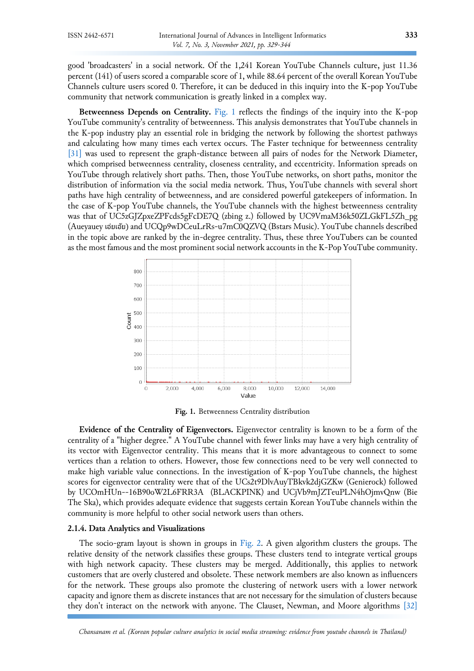good 'broadcasters' in a social network. Of the 1,241 Korean YouTube Channels culture, just 11.36 percent (141) of users scored a comparable score of 1, while 88.64 percent of the overall Korean YouTube Channels culture users scored 0. Therefore, it can be deduced in this inquiry into the K-pop YouTube community that network communication is greatly linked in a complex way.

**Betweenness Depends on Centrality.** [Fig.](#page-4-0) 1 reflects the findings of the inquiry into the K-pop YouTube community's centrality of betweenness. This analysis demonstrates that YouTube channels in the K-pop industry play an essential role in bridging the network by following the shortest pathways and calculating how many times each vertex occurs. The Faster technique for betweenness centrality [\[31\]](#page-14-7) was used to represent the graph-distance between all pairs of nodes for the Network Diameter, which comprised betweenness centrality, closeness centrality, and eccentricity. Information spreads on YouTube through relatively short paths. Then, those YouTube networks, on short paths, monitor the distribution of information via the social media network. Thus, YouTube channels with several short paths have high centrality of betweenness, and are considered powerful gatekeepers of information. In the case of K-pop YouTube channels, the YouTube channels with the highest betweenness centrality was that of UC5zGJZpxeZPFcds5gFcDE7Q (zbing z.) followed by UC9VmaM36k50ZLGkFL5Zh\_pg (Aueyauey เอ๋ยเอ ้ย) and UCQp9wDCeuLrRs-u7mC0QZVQ (Bstars Music). YouTube channels described in the topic above are ranked by the in-degree centrality. Thus, these three YouTubers can be counted as the most famous and the most prominent social network accounts in the K-Pop YouTube community.

<span id="page-4-0"></span>

**Fig. 1.** Betweenness Centrality distribution

**Evidence of the Centrality of Eigenvectors.** Eigenvector centrality is known to be a form of the centrality of a "higher degree." A YouTube channel with fewer links may have a very high centrality of its vector with Eigenvector centrality. This means that it is more advantageous to connect to some vertices than a relation to others. However, those few connections need to be very well connected to make high variable value connections. In the investigation of K-pop YouTube channels, the highest scores for eigenvector centrality were that of the UCs2t9DlvAuyTBkvk2djGZKw (Genierock) followed by UCOmHUn--16B90oW2L6FRR3A (BLACKPINK) and UCjVb9mJZTeuPLN4hOjmvQnw (Bie The Ska), which provides adequate evidence that suggests certain Korean YouTube channels within the community is more helpful to other social network users than others.

## **2.1.4. Data Analytics and Visualizations**

The socio-gram layout is shown in groups in [Fig.](#page-5-0) 2. A given algorithm clusters the groups. The relative density of the network classifies these groups. These clusters tend to integrate vertical groups with high network capacity. These clusters may be merged. Additionally, this applies to network customers that are overly clustered and obsolete. These network members are also known as influencers for the network. These groups also promote the clustering of network users with a lower network capacity and ignore them as discrete instances that are not necessary for the simulation of clusters because they don't interact on the network with anyone. The Clauset, Newman, and Moore algorithms [\[32\]](#page-14-8)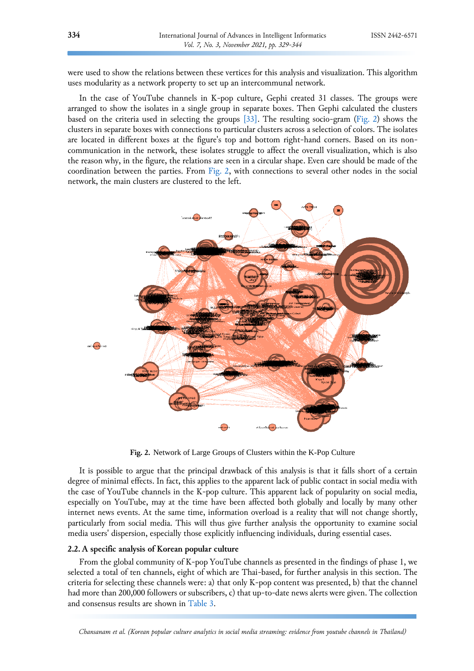were used to show the relations between these vertices for this analysis and visualization. This algorithm uses modularity as a network property to set up an intercommunal network.

In the case of YouTube channels in K-pop culture, Gephi created 31 classes. The groups were arranged to show the isolates in a single group in separate boxes. Then Gephi calculated the clusters based on the criteria used in selecting the groups [\[33\].](#page-15-0) The resulting socio-gram [\(Fig.](#page-5-0) 2) shows the clusters in separate boxes with connections to particular clusters across a selection of colors. The isolates are located in different boxes at the figure's top and bottom right-hand corners. Based on its noncommunication in the network, these isolates struggle to affect the overall visualization, which is also the reason why, in the figure, the relations are seen in a circular shape. Even care should be made of the coordination between the parties. From [Fig.](#page-5-0) 2, with connections to several other nodes in the social network, the main clusters are clustered to the left.



**Fig. 2.** Network of Large Groups of Clusters within the K-Pop Culture

It is possible to argue that the principal drawback of this analysis is that it falls short of a certain degree of minimal effects. In fact, this applies to the apparent lack of public contact in social media with the case of YouTube channels in the K-pop culture. This apparent lack of popularity on social media, especially on YouTube, may at the time have been affected both globally and locally by many other internet news events. At the same time, information overload is a reality that will not change shortly, particularly from social media. This will thus give further analysis the opportunity to examine social media users' dispersion, especially those explicitly influencing individuals, during essential cases.

#### **2.2. A specific analysis of Korean popular culture**

From the global community of K-pop YouTube channels as presented in the findings of phase 1, we selected a total of ten channels, eight of which are Thai-based, for further analysis in this section. The criteria for selecting these channels were: a) that only K-pop content was presented, b) that the channel had more than 200,000 followers or subscribers, c) that up-to-date news alerts were given. The collection and consensus results are shown in [Table 3.](#page-6-0)

<span id="page-5-0"></span>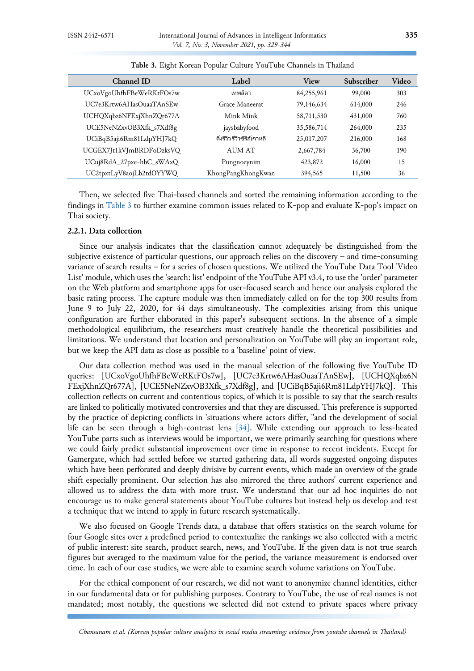<span id="page-6-0"></span>

| Channel ID               | Label                       | View       | Subscriber | Video |
|--------------------------|-----------------------------|------------|------------|-------|
| UCxoVgoUhfhFBeWeRKtFOs7w | เทพลีลา                     | 84,255,961 | 99,000     | 303   |
| UC7e3Krtw6AHasOuaaTAnSEw | Grace Maneerat              | 79,146,634 | 614,000    | 246   |
| UCHQXqbz6NFExjXhnZQr677A | Mink Mink                   | 58,711,530 | 431,000    | 760   |
| UCE5NeNZxvOB3Xfk_s7Xdf8g | jaysbabyfood                | 35,586,714 | 264,000    | 235   |
| UCiBqB5aji6Rm81LdpYHJ7kQ | ติ่งรีวิว รีวิวซีรีส์เกาหลี | 25,017,207 | 216,000    | 168   |
| UCGEX7Jt1kVJmBRDFoDzksVQ | AUM AT                      | 2,667,784  | 36,700     | 190   |
| UCuj8RdA_27pxe-hbC_sWAxQ | Pungnoeynim                 | 423,872    | 16,000     | 15    |
| UC2tpxtLyV8aojLb2tdOYYWQ | KhongPangKhongKwan          | 394,565    | 11,500     | 36    |

|  |  |  |  |  |  |  | Table 3. Eight Korean Popular Culture YouTube Channels in Thailand |
|--|--|--|--|--|--|--|--------------------------------------------------------------------|
|--|--|--|--|--|--|--|--------------------------------------------------------------------|

Then, we selected five Thai-based channels and sorted the remaining information according to the findings in [Table 3](#page-6-0) to further examine common issues related to K-pop and evaluate K-pop's impact on Thai society.

# **2.2.1. Data collection**

Since our analysis indicates that the classification cannot adequately be distinguished from the subjective existence of particular questions, our approach relies on the discovery – and time-consuming variance of search results – for a series of chosen questions. We utilized the YouTube Data Tool 'Video List' module, which uses the 'search: list' endpoint of the YouTube API v3.4, to use the 'order' parameter on the Web platform and smartphone apps for user-focused search and hence our analysis explored the basic rating process. The capture module was then immediately called on for the top 300 results from June 9 to July 22, 2020, for 44 days simultaneously. The complexities arising from this unique configuration are further elaborated in this paper's subsequent sections. In the absence of a simple methodological equilibrium, the researchers must creatively handle the theoretical possibilities and limitations. We understand that location and personalization on YouTube will play an important role, but we keep the API data as close as possible to a 'baseline' point of view.

Our data collection method was used in the manual selection of the following five YouTube ID queries: [UCxoVgoUhfhFBeWeRKtFOs7w], [UC7e3Krtw6AHasOuaaTAnSEw], [UCHQXqbz6N FExjXhnZQr677A], [UCE5NeNZxvOB3Xfk\_s7Xdf8g], and [UCiBqB5aji6Rm81LdpYHJ7kQ]. This collection reflects on current and contentious topics, of which it is possible to say that the search results are linked to politically motivated controversies and that they are discussed. This preference is supported by the practice of depicting conflicts in 'situations where actors differ, "and the development of social life can be seen through a high-contrast lens  $[34]$ . While extending our approach to less-heated YouTube parts such as interviews would be important, we were primarily searching for questions where we could fairly predict substantial improvement over time in response to recent incidents. Except for Gamergate, which had settled before we started gathering data, all words suggested ongoing disputes which have been perforated and deeply divisive by current events, which made an overview of the grade shift especially prominent. Our selection has also mirrored the three authors' current experience and allowed us to address the data with more trust. We understand that our ad hoc inquiries do not encourage us to make general statements about YouTube cultures but instead help us develop and test a technique that we intend to apply in future research systematically.

We also focused on Google Trends data, a database that offers statistics on the search volume for four Google sites over a predefined period to contextualize the rankings we also collected with a metric of public interest: site search, product search, news, and YouTube. If the given data is not true search figures but averaged to the maximum value for the period, the variance measurement is endorsed over time. In each of our case studies, we were able to examine search volume variations on YouTube.

For the ethical component of our research, we did not want to anonymize channel identities, either in our fundamental data or for publishing purposes. Contrary to YouTube, the use of real names is not mandated; most notably, the questions we selected did not extend to private spaces where privacy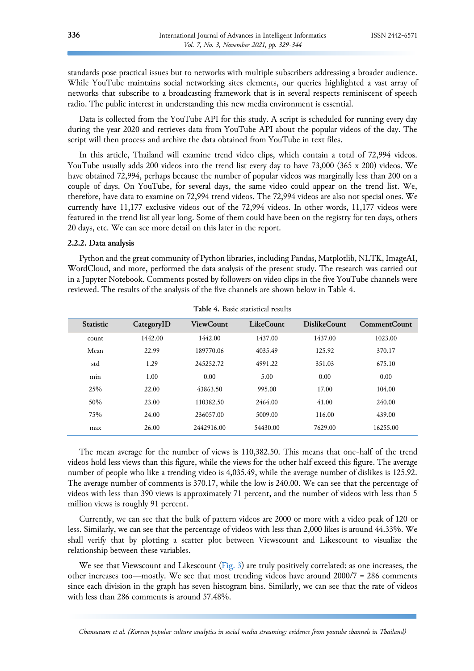standards pose practical issues but to networks with multiple subscribers addressing a broader audience. While YouTube maintains social networking sites elements, our queries highlighted a vast array of networks that subscribe to a broadcasting framework that is in several respects reminiscent of speech radio. The public interest in understanding this new media environment is essential.

Data is collected from the YouTube API for this study. A script is scheduled for running every day during the year 2020 and retrieves data from YouTube API about the popular videos of the day. The script will then process and archive the data obtained from YouTube in text files.

In this article, Thailand will examine trend video clips, which contain a total of 72,994 videos. YouTube usually adds 200 videos into the trend list every day to have 73,000 (365 x 200) videos. We have obtained 72,994, perhaps because the number of popular videos was marginally less than 200 on a couple of days. On YouTube, for several days, the same video could appear on the trend list. We, therefore, have data to examine on 72,994 trend videos. The 72,994 videos are also not special ones. We currently have 11,177 exclusive videos out of the 72,994 videos. In other words, 11,177 videos were featured in the trend list all year long. Some of them could have been on the registry for ten days, others 20 days, etc. We can see more detail on this later in the report.

# **2.2.2. Data analysis**

Python and the great community of Python libraries, including Pandas, Matplotlib, NLTK, ImageAI, WordCloud, and more, performed the data analysis of the present study. The research was carried out in a Jupyter Notebook. Comments posted by followers on video clips in the five YouTube channels were reviewed. The results of the analysis of the five channels are shown below in Table 4.

| <b>Statistic</b> | CategoryID | <b>ViewCount</b> | <b>LikeCount</b> | DislikeCount | CommentCount |
|------------------|------------|------------------|------------------|--------------|--------------|
| count            | 1442.00    | 1442.00          | 1437.00          | 1437.00      | 1023.00      |
| Mean             | 22.99      | 189770.06        | 4035.49          | 125.92       | 370.17       |
| std              | 1.29       | 245252.72        | 4991.22          | 351.03       | 675.10       |
| min              | 1.00       | 0.00             | 5.00             | 0.00         | 0.00         |
| 25%              | 22.00      | 43863.50         | 995.00           | 17.00        | 104.00       |
| 50%              | 23.00      | 110382.50        | 2464.00          | 41.00        | 240.00       |
| 75%              | 24.00      | 236057.00        | 5009.00          | 116.00       | 439.00       |
| max              | 26.00      | 2442916.00       | 54430.00         | 7629.00      | 16255.00     |

**Table 4.** Basic statistical results

The mean average for the number of views is 110,382.50. This means that one-half of the trend videos hold less views than this figure, while the views for the other half exceed this figure. The average number of people who like a trending video is 4,035.49, while the average number of dislikes is 125.92. The average number of comments is 370.17, while the low is 240.00. We can see that the percentage of videos with less than 390 views is approximately 71 percent, and the number of videos with less than 5 million views is roughly 91 percent.

Currently, we can see that the bulk of pattern videos are 2000 or more with a video peak of 120 or less. Similarly, we can see that the percentage of videos with less than 2,000 likes is around 44.33%. We shall verify that by plotting a scatter plot between Viewscount and Likescount to visualize the relationship between these variables.

We see that Viewscount and Likescount [\(Fig. 3\)](#page-8-0) are truly positively correlated: as one increases, the other increases too—mostly. We see that most trending videos have around 2000/7 = 286 comments since each division in the graph has seven histogram bins. Similarly, we can see that the rate of videos with less than 286 comments is around 57.48%.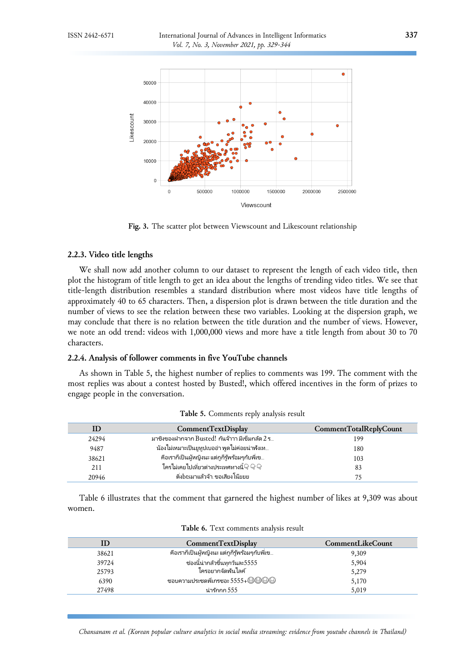<span id="page-8-0"></span>

**Fig. 3.** The scatter plot between Viewscount and Likescount relationship

# **2.2.3. Video title lengths**

We shall now add another column to our dataset to represent the length of each video title, then plot the histogram of title length to get an idea about the lengths of trending video titles. We see that title-length distribution resembles a standard distribution where most videos have title lengths of approximately 40 to 65 characters. Then, a dispersion plot is drawn between the title duration and the number of views to see the relation between these two variables. Looking at the dispersion graph, we may conclude that there is no relation between the title duration and the number of views. However, we note an odd trend: videos with 1,000,000 views and more have a title length from about 30 to 70 characters.

# **2.2.4. Analysis of follower comments in five YouTube channels**

As shown in Table 5, the highest number of replies to comments was 199. The comment with the most replies was about a contest hosted by Busted!, which offered incentives in the form of prizes to engage people in the conversation.

| Æ     | CommentTextDisplay                             | CommentTotalReplyCount |
|-------|------------------------------------------------|------------------------|
|       |                                                |                        |
| 24294 | มาซิงของฝากจาก Busted! กันจ้าาา มีเข็มกลัด 2 ร | 199                    |
| 9487  | น้องไม่เหมาะเป็นยูทูปเบออ่า พูดไม่ค่อยน่าฬังเท | 180                    |
| 38621 | คือเราก็เป็นผู้หญิงนะ แต่กูก็รู้พร้อมๆกับพี่เข | 103                    |
| 211   | ใครไม่เคยไปเที่ยวต่างประเทศทางนี้ ๆ ๆ ๆ        | 83                     |
| 20946 | ติ่งbtsมาแล้วจ้า ขอเสียงโน๊ยยย                 | 75                     |

**Table 5.** Comments reply analysis result

Table 6 illustrates that the comment that garnered the highest number of likes at 9,309 was about women.

| ID    | CommentTextDisplay                             | <b>CommentLikeCount</b> |
|-------|------------------------------------------------|-------------------------|
| 38621 | คือเราก็เป็นผู้หญิงนะ แต่กูก็รู้พร้อมๆกับพี่เข | 9,309                   |
| 39724 | ช่องนี้น่ากลัวขึ้นทุกวันละ5555                 | 5,904                   |
| 25793 | ใครอยากจัดพ้นไลค์                              | 5,279                   |
| 6390  | ชอบความประชดพี่เกรซอะ 5555+☺☺☺☺                | 5,170                   |
| 27498 | น่ารักกก 555                                   | 5,019                   |

| Table 6. Text comments analysis result |  |  |
|----------------------------------------|--|--|
|----------------------------------------|--|--|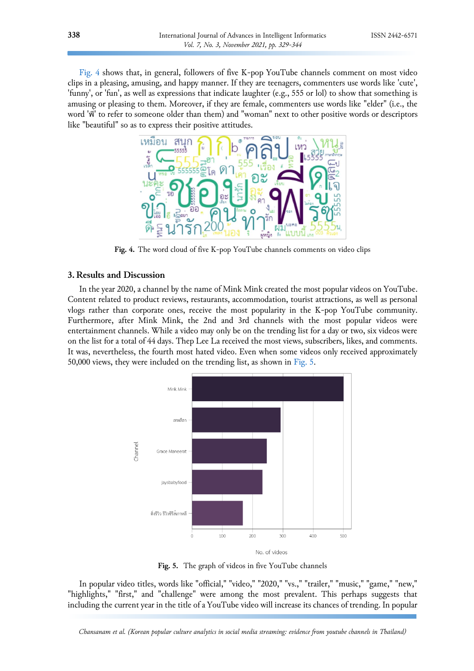<span id="page-9-0"></span>[Fig.](#page-9-0) 4 shows that, in general, followers of five K-pop YouTube channels comment on most video clips in a pleasing, amusing, and happy manner. If they are teenagers, commenters use words like 'cute', 'funny', or 'fun', as well as expressions that indicate laughter (e.g., 555 or lol) to show that something is amusing or pleasing to them. Moreover, if they are female, commenters use words like "elder" (i.e., the word 'พี ' to refer to someone older than them) and "woman" next to other positive words or descriptors ่ like "beautiful" so as to express their positive attitudes.



**Fig. 4.** The word cloud of five K-pop YouTube channels comments on video clips

# **3. Results and Discussion**

In the year 2020, a channel by the name of Mink Mink created the most popular videos on YouTube. Content related to product reviews, restaurants, accommodation, tourist attractions, as well as personal vlogs rather than corporate ones, receive the most popularity in the K-pop YouTube community. Furthermore, after Mink Mink, the 2nd and 3rd channels with the most popular videos were entertainment channels. While a video may only be on the trending list for a day or two, six videos were on the list for a total of 44 days. Thep Lee La received the most views, subscribers, likes, and comments. It was, nevertheless, the fourth most hated video. Even when some videos only received approximately 50,000 views, they were included on the trending list, as shown in [Fig. 5.](#page-9-1)

<span id="page-9-1"></span>

**Fig. 5.** The graph of videos in five YouTube channels

In popular video titles, words like "official," "video," "2020," "vs.," "trailer," "music," "game," "new," "highlights," "first," and "challenge" were among the most prevalent. This perhaps suggests that including the current year in the title of a YouTube video will increase its chances of trending. In popular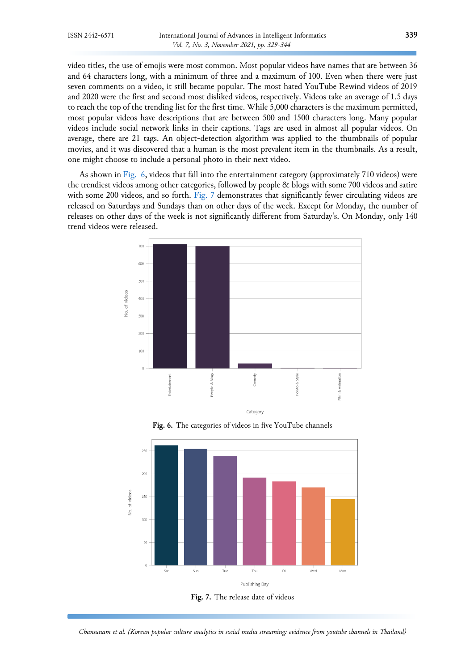video titles, the use of emojis were most common. Most popular videos have names that are between 36 and 64 characters long, with a minimum of three and a maximum of 100. Even when there were just seven comments on a video, it still became popular. The most hated YouTube Rewind videos of 2019 and 2020 were the first and second most disliked videos, respectively. Videos take an average of 1.5 days to reach the top of the trending list for the first time. While 5,000 characters is the maximum permitted, most popular videos have descriptions that are between 500 and 1500 characters long. Many popular videos include social network links in their captions. Tags are used in almost all popular videos. On average, there are 21 tags. An object-detection algorithm was applied to the thumbnails of popular movies, and it was discovered that a human is the most prevalent item in the thumbnails. As a result, one might choose to include a personal photo in their next video.

As shown in [Fig. 6,](#page-10-0) videos that fall into the entertainment category (approximately 710 videos) were the trendiest videos among other categories, followed by people & blogs with some 700 videos and satire with some 200 videos, and so forth. [Fig.](#page-10-1) 7 demonstrates that significantly fewer circulating videos are released on Saturdays and Sundays than on other days of the week. Except for Monday, the number of releases on other days of the week is not significantly different from Saturday's. On Monday, only 140 trend videos were released.

<span id="page-10-0"></span>

**Fig. 6.** The categories of videos in five YouTube channels

<span id="page-10-1"></span>

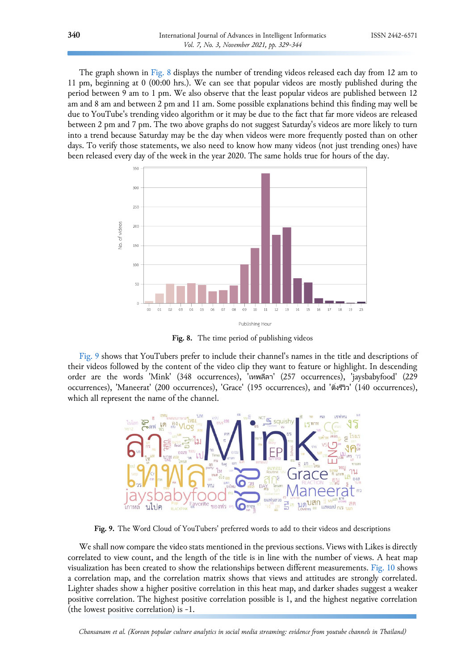The graph shown in [Fig. 8](#page-11-0) displays the number of trending videos released each day from 12 am to 11 pm, beginning at 0 (00:00 hrs.). We can see that popular videos are mostly published during the period between 9 am to 1 pm. We also observe that the least popular videos are published between 12 am and 8 am and between 2 pm and 11 am. Some possible explanations behind this finding may well be due to YouTube's trending video algorithm or it may be due to the fact that far more videos are released between 2 pm and 7 pm. The two above graphs do not suggest Saturday's videos are more likely to turn into a trend because Saturday may be the day when videos were more frequently posted than on other days. To verify those statements, we also need to know how many videos (not just trending ones) have been released every day of the week in the year 2020. The same holds true for hours of the day.

<span id="page-11-0"></span>

**Fig. 8.** The time period of publishing videos

[Fig.](#page-11-1) 9 shows that YouTubers prefer to include their channel's names in the title and descriptions of their videos followed by the content of the video clip they want to feature or highlight. In descending order are the words 'Mink' (348 occurrences), 'เทพลีลา' (257 occurrences), 'jaysbabyfood' (229 occurrences), 'Maneerat' (200 occurrences), 'Grace' (195 occurrences), and 'ติ ่งรวีวิ' (140 occurrences), which all represent the name of the channel.

<span id="page-11-1"></span>

**Fig. 9.** The Word Cloud of YouTubers' preferred words to add to their videos and descriptions

We shall now compare the video stats mentioned in the previous sections. Views with Likes is directly correlated to view count, and the length of the title is in line with the number of views. A heat map visualization has been created to show the relationships between different measurements. [Fig.](#page-12-0) 10 shows a correlation map, and the correlation matrix shows that views and attitudes are strongly correlated. Lighter shades show a higher positive correlation in this heat map, and darker shades suggest a weaker positive correlation. The highest positive correlation possible is 1, and the highest negative correlation (the lowest positive correlation) is -1.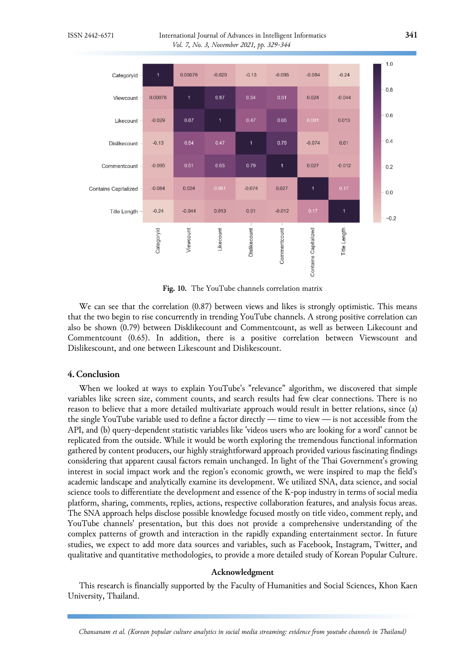<span id="page-12-0"></span>

**Fig. 10.** The YouTube channels correlation matrix

We can see that the correlation (0.87) between views and likes is strongly optimistic. This means that the two begin to rise concurrently in trending YouTube channels. A strong positive correlation can also be shown (0.79) between Disklikecount and Commentcount, as well as between Likecount and Commentcount (0.65). In addition, there is a positive correlation between Viewscount and Dislikescount, and one between Likescount and Dislikescount.

# **4. Conclusion**

When we looked at ways to explain YouTube's "relevance" algorithm, we discovered that simple variables like screen size, comment counts, and search results had few clear connections. There is no reason to believe that a more detailed multivariate approach would result in better relations, since (a) the single YouTube variable used to define a factor directly — time to view — is not accessible from the API, and (b) query-dependent statistic variables like 'videos users who are looking for a word' cannot be replicated from the outside. While it would be worth exploring the tremendous functional information gathered by content producers, our highly straightforward approach provided various fascinating findings considering that apparent causal factors remain unchanged. In light of the Thai Government's growing interest in social impact work and the region's economic growth, we were inspired to map the field's academic landscape and analytically examine its development. We utilized SNA, data science, and social science tools to differentiate the development and essence of the K-pop industry in terms of social media platform, sharing, comments, replies, actions, respective collaboration features, and analysis focus areas. The SNA approach helps disclose possible knowledge focused mostly on title video, comment reply, and YouTube channels' presentation, but this does not provide a comprehensive understanding of the complex patterns of growth and interaction in the rapidly expanding entertainment sector. In future studies, we expect to add more data sources and variables, such as Facebook, Instagram, Twitter, and qualitative and quantitative methodologies, to provide a more detailed study of Korean Popular Culture.

## **Acknowledgment**

This research is financially supported by the Faculty of Humanities and Social Sciences, Khon Kaen University, Thailand.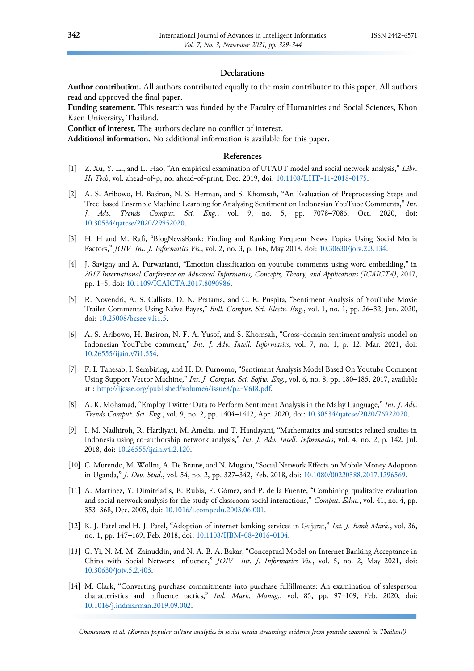### **Declarations**

**Author contribution.** All authors contributed equally to the main contributor to this paper. All authors read and approved the final paper.

**Funding statement.** This research was funded by the Faculty of Humanities and Social Sciences, Khon Kaen University, Thailand.

**Conflict of interest.** The authors declare no conflict of interest.

**Additional information.** No additional information is available for this paper.

#### **References**

- <span id="page-13-0"></span>[1] Z. Xu, Y. Li, and L. Hao, "An empirical examination of UTAUT model and social network analysis," *Libr. Hi Tech*, vol. ahead-of-p, no. ahead-of-print, Dec. 2019, doi: [10.1108/LHT-11-2018-0175.](https://doi.org/10.1108/LHT-11-2018-0175)
- <span id="page-13-1"></span>[2] A. S. Aribowo, H. Basiron, N. S. Herman, and S. Khomsah, "An Evaluation of Preprocessing Steps and Tree-based Ensemble Machine Learning for Analysing Sentiment on Indonesian YouTube Comments," *Int. J. Adv. Trends Comput. Sci. Eng.*, vol. 9, no. 5, pp. 7078–7086, Oct. 2020, doi: [10.30534/ijatcse/2020/29952020.](https://doi.org/10.30534/ijatcse/2020/29952020)
- [3] H. H and M. Rafi, "BlogNewsRank: Finding and Ranking Frequent News Topics Using Social Media Factors," *JOIV Int. J. Informatics Vis.*, vol. 2, no. 3, p. 166, May 2018, doi: [10.30630/joiv.2.3.134.](https://doi.org/10.30630/joiv.2.3.134)
- [4] J. Savigny and A. Purwarianti, "Emotion classification on youtube comments using word embedding," in *2017 International Conference on Advanced Informatics, Concepts, Theory, and Applications (ICAICTA)*, 2017, pp. 1–5, doi: [10.1109/ICAICTA.2017.8090986.](https://doi.org/10.1109/ICAICTA.2017.8090986)
- [5] R. Novendri, A. S. Callista, D. N. Pratama, and C. E. Puspita, "Sentiment Analysis of YouTube Movie Trailer Comments Using Naïve Bayes," *Bull. Comput. Sci. Electr. Eng.*, vol. 1, no. 1, pp. 26–32, Jun. 2020, doi: [10.25008/bcsee.v1i1.5.](https://doi.org/10.25008/bcsee.v1i1.5)
- [6] A. S. Aribowo, H. Basiron, N. F. A. Yusof, and S. Khomsah, "Cross-domain sentiment analysis model on Indonesian YouTube comment," *Int. J. Adv. Intell. Informatics*, vol. 7, no. 1, p. 12, Mar. 2021, doi: [10.26555/ijain.v7i1.554.](https://doi.org/10.26555/ijain.v7i1.554)
- [7] F. I. Tanesab, I. Sembiring, and H. D. Purnomo, "Sentiment Analysis Model Based On Youtube Comment Using Support Vector Machine," *Int. J. Comput. Sci. Softw. Eng.*, vol. 6, no. 8, pp. 180–185, 2017, available at : [http://ijcsse.org/published/volume6/issue8/p2-V6I8.pdf.](http://ijcsse.org/published/volume6/issue8/p2-V6I8.pdf)
- [8] A. K. Mohamad, "Employ Twitter Data to Perform Sentiment Analysis in the Malay Language," *Int. J. Adv. Trends Comput. Sci. Eng.*, vol. 9, no. 2, pp. 1404–1412, Apr. 2020, doi: [10.30534/ijatcse/2020/76922020.](https://doi.org/10.30534/ijatcse/2020/76922020)
- <span id="page-13-2"></span>[9] I. M. Nadhiroh, R. Hardiyati, M. Amelia, and T. Handayani, "Mathematics and statistics related studies in Indonesia using co-authorship network analysis," *Int. J. Adv. Intell. Informatics*, vol. 4, no. 2, p. 142, Jul. 2018, doi: [10.26555/ijain.v4i2.120.](https://doi.org/10.26555/ijain.v4i2.120)
- <span id="page-13-3"></span>[10] C. Murendo, M. Wollni, A. De Brauw, and N. Mugabi, "Social Network Effects on Mobile Money Adoption in Uganda," *J. Dev. Stud.*, vol. 54, no. 2, pp. 327–342, Feb. 2018, doi: [10.1080/00220388.2017.1296569.](https://doi.org/10.1080/00220388.2017.1296569)
- <span id="page-13-4"></span>[11] A. Martı́nez, Y. Dimitriadis, B. Rubia, E. Gómez, and P. de la Fuente, "Combining qualitative evaluation and social network analysis for the study of classroom social interactions," *Comput. Educ.*, vol. 41, no. 4, pp. 353–368, Dec. 2003, doi: [10.1016/j.compedu.2003.06.001.](https://doi.org/10.1016/j.compedu.2003.06.001)
- <span id="page-13-5"></span>[12] K. J. Patel and H. J. Patel, "Adoption of internet banking services in Gujarat," *Int. J. Bank Mark.*, vol. 36, no. 1, pp. 147–169, Feb. 2018, doi: [10.1108/IJBM-08-2016-0104.](https://doi.org/10.1108/IJBM-08-2016-0104)
- [13] G. Yi, N. M. M. Zainuddin, and N. A. B. A. Bakar, "Conceptual Model on Internet Banking Acceptance in China with Social Network Influence," *JOIV Int. J. Informatics Vis.*, vol. 5, no. 2, May 2021, doi: [10.30630/joiv.5.2.403.](https://doi.org/10.30630/joiv.5.2.403)
- [14] M. Clark, "Converting purchase commitments into purchase fulfillments: An examination of salesperson characteristics and influence tactics," *Ind. Mark. Manag.*, vol. 85, pp. 97–109, Feb. 2020, doi: [10.1016/j.indmarman.2019.09.002.](https://doi.org/10.1016/j.indmarman.2019.09.002)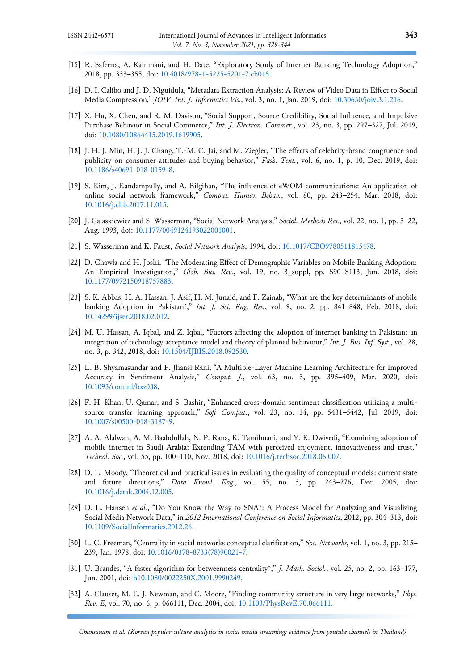- [15] R. Safeena, A. Kammani, and H. Date, "Exploratory Study of Internet Banking Technology Adoption," 2018, pp. 333–355, doi: [10.4018/978-1-5225-5201-7.ch015.](https://doi.org/10.4018/978-1-5225-5201-7.ch015)
- [16] D. I. Calibo and J. D. Niguidula, "Metadata Extraction Analysis: A Review of Video Data in Effect to Social Media Compression," *JOIV Int. J. Informatics Vis.*, vol. 3, no. 1, Jan. 2019, doi: [10.30630/joiv.3.1.216.](https://doi.org/10.30630/joiv.3.1.216)
- [17] X. Hu, X. Chen, and R. M. Davison, "Social Support, Source Credibility, Social Influence, and Impulsive Purchase Behavior in Social Commerce," *Int. J. Electron. Commer.*, vol. 23, no. 3, pp. 297–327, Jul. 2019, doi: [10.1080/10864415.2019.1619905.](https://doi.org/10.1080/10864415.2019.1619905)
- [18] J. H. J. Min, H. J. J. Chang, T.-M. C. Jai, and M. Ziegler, "The effects of celebrity-brand congruence and publicity on consumer attitudes and buying behavior," *Fash. Text.*, vol. 6, no. 1, p. 10, Dec. 2019, doi: [10.1186/s40691-018-0159-8.](https://doi.org/10.1186/s40691-018-0159-8)
- [19] S. Kim, J. Kandampully, and A. Bilgihan, "The influence of eWOM communications: An application of online social network framework," *Comput. Human Behav.*, vol. 80, pp. 243–254, Mar. 2018, doi: [10.1016/j.chb.2017.11.015.](https://doi.org/10.1016/j.chb.2017.11.015)
- <span id="page-14-0"></span>[20] J. Galaskiewicz and S. Wasserman, "Social Network Analysis," *Sociol. Methods Res.*, vol. 22, no. 1, pp. 3–22, Aug. 1993, doi: [10.1177/0049124193022001001.](https://doi.org/10.1177/0049124193022001001)
- <span id="page-14-1"></span>[21] S. Wasserman and K. Faust, *Social Network Analysis*, 1994, doi: [10.1017/CBO9780511815478.](https://doi.org/10.1017/CBO9780511815478)
- <span id="page-14-2"></span>[22] D. Chawla and H. Joshi, "The Moderating Effect of Demographic Variables on Mobile Banking Adoption: An Empirical Investigation," *Glob. Bus. Rev.*, vol. 19, no. 3\_suppl, pp. S90–S113, Jun. 2018, doi: [10.1177/0972150918757883.](https://doi.org/10.1177/0972150918757883)
- [23] S. K. Abbas, H. A. Hassan, J. Asif, H. M. Junaid, and F. Zainab, "What are the key determinants of mobile banking Adoption in Pakistan?," *Int. J. Sci. Eng. Res.*, vol. 9, no. 2, pp. 841–848, Feb. 2018, doi: [10.14299/ijser.2018.02.012.](https://doi.org/10.14299/ijser.2018.02.012)
- [24] M. U. Hassan, A. Iqbal, and Z. Iqbal, "Factors affecting the adoption of internet banking in Pakistan: an integration of technology acceptance model and theory of planned behaviour," *Int. J. Bus. Inf. Syst.*, vol. 28, no. 3, p. 342, 2018, doi: [10.1504/IJBIS.2018.092530.](https://doi.org/10.1504/IJBIS.2018.092530)
- <span id="page-14-3"></span>[25] L. B. Shyamasundar and P. Jhansi Rani, "A Multiple-Layer Machine Learning Architecture for Improved Accuracy in Sentiment Analysis," *Comput. J.*, vol. 63, no. 3, pp. 395–409, Mar. 2020, doi: [10.1093/comjnl/bxz038.](https://doi.org/10.1093/comjnl/bxz038)
- [26] F. H. Khan, U. Qamar, and S. Bashir, "Enhanced cross-domain sentiment classification utilizing a multisource transfer learning approach," *Soft Comput.*, vol. 23, no. 14, pp. 5431–5442, Jul. 2019, doi: [10.1007/s00500-018-3187-9.](https://doi.org/10.1007/s00500-018-3187-9)
- [27] A. A. Alalwan, A. M. Baabdullah, N. P. Rana, K. Tamilmani, and Y. K. Dwivedi, "Examining adoption of mobile internet in Saudi Arabia: Extending TAM with perceived enjoyment, innovativeness and trust," *Technol. Soc.*, vol. 55, pp. 100–110, Nov. 2018, doi: [10.1016/j.techsoc.2018.06.007.](https://doi.org/10.1016/j.techsoc.2018.06.007)
- <span id="page-14-4"></span>[28] D. L. Moody, "Theoretical and practical issues in evaluating the quality of conceptual models: current state and future directions," *Data Knowl. Eng.*, vol. 55, no. 3, pp. 243–276, Dec. 2005, doi: [10.1016/j.datak.2004.12.005.](https://doi.org/10.1016/j.datak.2004.12.005)
- <span id="page-14-5"></span>[29] D. L. Hansen *et al.*, "Do You Know the Way to SNA?: A Process Model for Analyzing and Visualizing Social Media Network Data," in *2012 International Conference on Social Informatics*, 2012, pp. 304–313, doi: [10.1109/SocialInformatics.2012.26.](https://doi.org/10.1109/SocialInformatics.2012.26)
- <span id="page-14-6"></span>[30] L. C. Freeman, "Centrality in social networks conceptual clarification," *Soc. Networks*, vol. 1, no. 3, pp. 215– 239, Jan. 1978, doi: [10.1016/0378-8733\(78\)90021-7.](https://doi.org/10.1016/0378-8733(78)90021-7)
- <span id="page-14-7"></span>[31] U. Brandes, "A faster algorithm for betweenness centrality\*," *J. Math. Sociol.*, vol. 25, no. 2, pp. 163–177, Jun. 2001, doi: [h10.1080/0022250X.2001.9990249.](https://doi.org/10.1080/0022250X.2001.9990249)
- <span id="page-14-8"></span>[32] A. Clauset, M. E. J. Newman, and C. Moore, "Finding community structure in very large networks," *Phys. Rev. E*, vol. 70, no. 6, p. 066111, Dec. 2004, doi: [10.1103/PhysRevE.70.066111.](https://doi.org/10.1103/PhysRevE.70.066111)